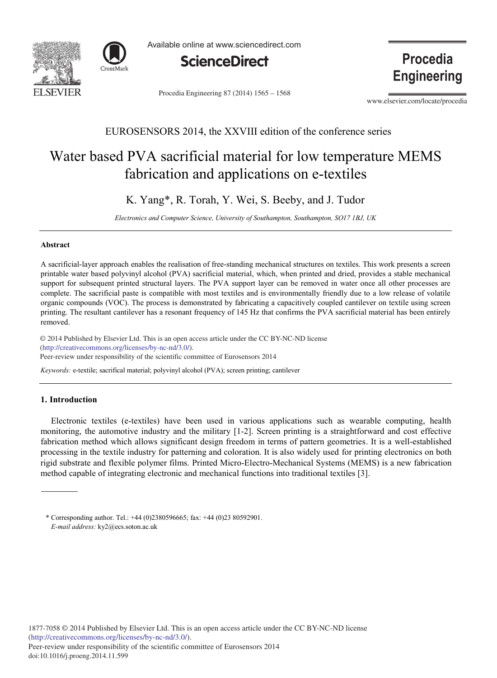



Available online at www.sciencedirect.com



Procedia Engineering 87 (2014) 1565 - 1568

**Procedia Engineering** 

www.elsevier.com/locate/procedia

# EUROSENSORS 2014, the XXVIII edition of the conference series

# Water based PVA sacrificial material for low temperature MEMS fabrication and applications on e-textiles

K. Yang\*, R. Torah, Y. Wei, S. Beeby, and J. Tudor

*Electronics and Computer Science, University of Southampton, Southampton, SO17 1BJ, UK*

### **Abstract**

A sacrificial-layer approach enables the realisation of free-standing mechanical structures on textiles. This work presents a screen printable water based polyvinyl alcohol (PVA) sacrificial material, which, when printed and dried, provides a stable mechanical support for subsequent printed structural layers. The PVA support layer can be removed in water once all other processes are complete. The sacrificial paste is compatible with most textiles and is environmentally friendly due to a low release of volatile organic compounds (VOC). The process is demonstrated by fabricating a capacitively coupled cantilever on textile using screen printing. The resultant cantilever has a resonant frequency of 145 Hz that confirms the PVA sacrificial material has been entirely removed.

© 2014 Published by Elsevier Ltd. This is an open access article under the CC BY-NC-ND license Peer-review under responsibility of the scientific committee of Eurosensors 2014. Peer-review under responsibility of the scientific committee of Eurosensors 2014(http://creativecommons.org/licenses/by-nc-nd/3.0/).

*Keywords:* e-textile; sacrifical material; polyvinyl alcohol (PVA); screen printing; cantilever

## **1. Introduction**

Electronic textiles (e-textiles) have been used in various applications such as wearable computing, health monitoring, the automotive industry and the military [1-2]. Screen printing is a straightforward and cost effective fabrication method which allows significant design freedom in terms of pattern geometries. It is a well-established processing in the textile industry for patterning and coloration. It is also widely used for printing electronics on both rigid substrate and flexible polymer films. Printed Micro-Electro-Mechanical Systems (MEMS) is a new fabrication method capable of integrating electronic and mechanical functions into traditional textiles [3].

<sup>\*</sup> Corresponding author. Tel.: +44 (0)2380596665; fax: +44 (0)23 80592901. *E-mail address:* ky2@ecs.soton.ac.uk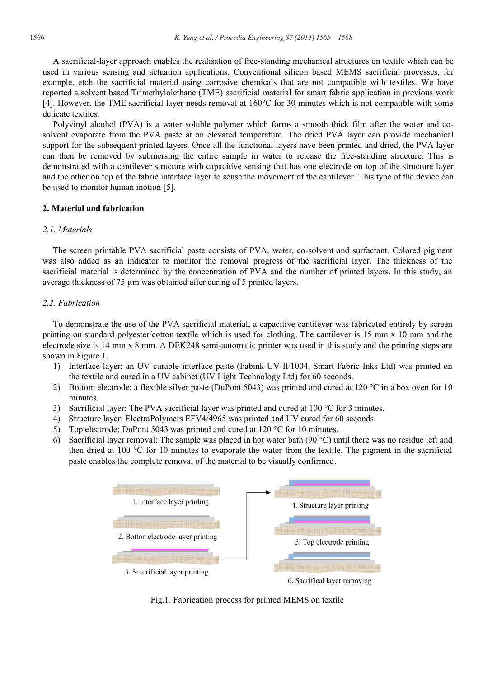A sacrificial-layer approach enables the realisation of free-standing mechanical structures on textile which can be used in various sensing and actuation applications. Conventional silicon based MEMS sacrificial processes, for example, etch the sacrificial material using corrosive chemicals that are not compatible with textiles. We have reported a solvent based Trimethylolethane (TME) sacrificial material for smart fabric application in previous work [4]. However, the TME sacrificial layer needs removal at 160°C for 30 minutes which is not compatible with some delicate textiles.

Polyvinyl alcohol (PVA) is a water soluble polymer which forms a smooth thick film after the water and cosolvent evaporate from the PVA paste at an elevated temperature. The dried PVA layer can provide mechanical support for the subsequent printed layers. Once all the functional layers have been printed and dried, the PVA layer can then be removed by submersing the entire sample in water to release the free-standing structure. This is demonstrated with a cantilever structure with capacitive sensing that has one electrode on top of the structure layer and the other on top of the fabric interface layer to sense the movement of the cantilever. This type of the device can be used to monitor human motion [5].

#### **2. Material and fabrication**

#### *2.1. Materials*

The screen printable PVA sacrificial paste consists of PVA, water, co-solvent and surfactant. Colored pigment was also added as an indicator to monitor the removal progress of the sacrificial layer. The thickness of the sacrificial material is determined by the concentration of PVA and the number of printed layers. In this study, an average thickness of 75 μm was obtained after curing of 5 printed layers.

#### *2.2. Fabrication*

To demonstrate the use of the PVA sacrificial material, a capacitive cantilever was fabricated entirely by screen printing on standard polyester/cotton textile which is used for clothing. The cantilever is 15 mm x 10 mm and the electrode size is 14 mm x 8 mm. A DEK248 semi-automatic printer was used in this study and the printing steps are shown in Figure 1.

- 1) Interface layer: an UV curable interface paste (Fabink-UV-IF1004, Smart Fabric Inks Ltd) was printed on the textile and cured in a UV cabinet (UV Light Technology Ltd) for 60 seconds.
- 2) Bottom electrode: a flexible silver paste (DuPont 5043) was printed and cured at 120  $^{\circ}$ C in a box oven for 10 minutes.
- 3) Sacrificial layer: The PVA sacrificial layer was printed and cured at 100  $^{\circ}$ C for 3 minutes.
- 4) Structure layer: ElectraPolymers EFV4/4965 was printed and UV cured for 60 seconds.
- 5) Top electrode: DuPont 5043 was printed and cured at 120 °C for 10 minutes.
- 6) Sacrificial layer removal: The sample was placed in hot water bath (90 °C) until there was no residue left and then dried at 100 °C for 10 minutes to evaporate the water from the textile. The pigment in the sacrificial paste enables the complete removal of the material to be visually confirmed.



Fig.1. Fabrication process for printed MEMS on textile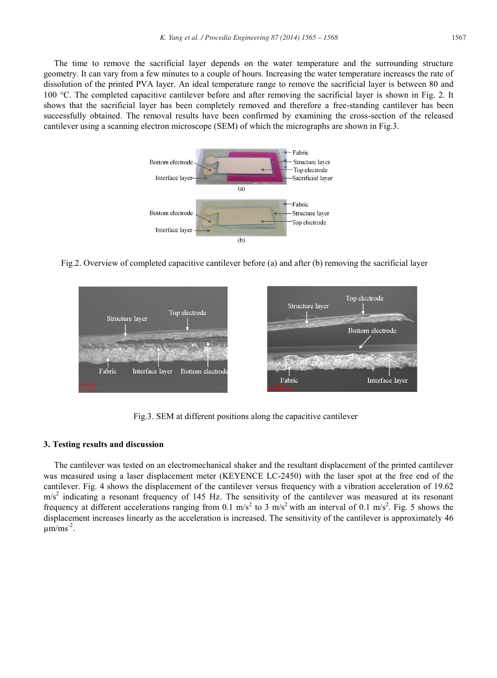The time to remove the sacrificial layer depends on the water temperature and the surrounding structure geometry. It can vary from a few minutes to a couple of hours. Increasing the water temperature increases the rate of dissolution of the printed PVA layer. An ideal temperature range to remove the sacrificial layer is between 80 and 100 °C. The completed capacitive cantilever before and after removing the sacrificial layer is shown in Fig. 2. It shows that the sacrificial layer has been completely removed and therefore a free-standing cantilever has been successfully obtained. The removal results have been confirmed by examining the cross-section of the released cantilever using a scanning electron microscope (SEM) of which the micrographs are shown in Fig.3.



Fig.2. Overview of completed capacitive cantilever before (a) and after (b) removing the sacrificial layer



Fig.3. SEM at different positions along the capacitive cantilever

#### **3. Testing results and discussion**

The cantilever was tested on an electromechanical shaker and the resultant displacement of the printed cantilever was measured using a laser displacement meter (KEYENCE LC-2450) with the laser spot at the free end of the cantilever. Fig. 4 shows the displacement of the cantilever versus frequency with a vibration acceleration of 19.62  $m/s<sup>2</sup>$  indicating a resonant frequency of 145 Hz. The sensitivity of the cantilever was measured at its resonant frequency at different accelerations ranging from 0.1 m/s<sup>2</sup> to 3 m/s<sup>2</sup> with an interval of 0.1 m/s<sup>2</sup>. Fig. 5 shows the displacement increases linearly as the acceleration is increased. The sensitivity of the cantilever is approximately 46  $\mu$ m/ms<sup>-2</sup>.